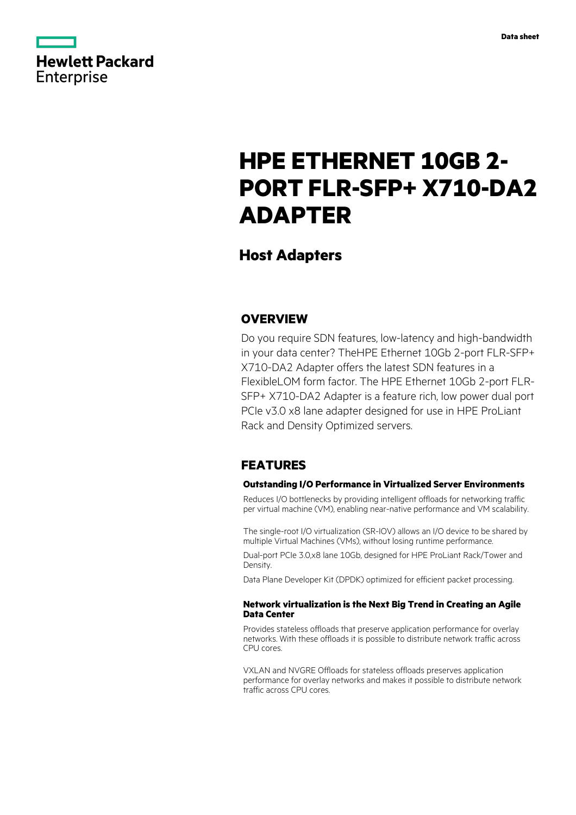

# **HPE ETHERNET 10GB 2- PORT FLR-SFP+ X710-DA2 ADAPTER**

# **Host Adapters**

### **OVERVIEW**

Do you require SDN features, low-latency and high-bandwidth in your data center? TheHPE Ethernet 10Gb 2-port FLR-SFP+ X710-DA2 Adapter offers the latest SDN features in a FlexibleLOM form factor. The HPE Ethernet 10Gb 2-port FLR-SFP+ X710-DA2 Adapter is a feature rich, low power dual port PCIe v3.0 x8 lane adapter designed for use in HPE ProLiant Rack and Density Optimized servers.

## **FEATURES**

### **Outstanding I/O Performance in Virtualized Server Environments**

Reduces I/O bottlenecks by providing intelligent offloads for networking traffic per virtual machine (VM), enabling near-native performance and VM scalability.

The single-root I/O virtualization (SR-IOV) allows an I/O device to be shared by multiple Virtual Machines (VMs), without losing runtime performance.

Dual-port PCIe 3.0,x8 lane 10Gb, designed for HPE ProLiant Rack/Tower and Density.

Data Plane Developer Kit (DPDK) optimized for efficient packet processing.

### **Network virtualization is the Next Big Trend in Creating an Agile Data Center**

Provides stateless offloads that preserve application performance for overlay networks. With these offloads it is possible to distribute network traffic across CPU cores.

VXLAN and NVGRE Offloads for stateless offloads preserves application performance for overlay networks and makes it possible to distribute network traffic across CPU cores.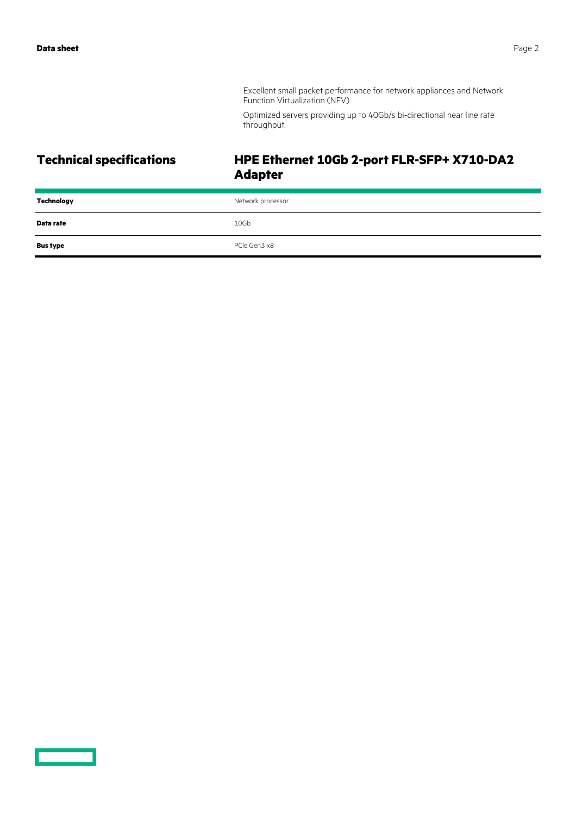Excellent small packet performance for network appliances and Network Function Virtualization (NFV).

Optimized servers providing up to 40Gb/s bi-directional near line rate throughput.

# **Technical specifications HPE Ethernet 10Gb 2-port FLR-SFP+ X710-DA2 Adapter**

| Technology      | Network processor |
|-----------------|-------------------|
| Data rate       | 10Gb              |
| <b>Bus type</b> | PCIe Gen3 x8      |